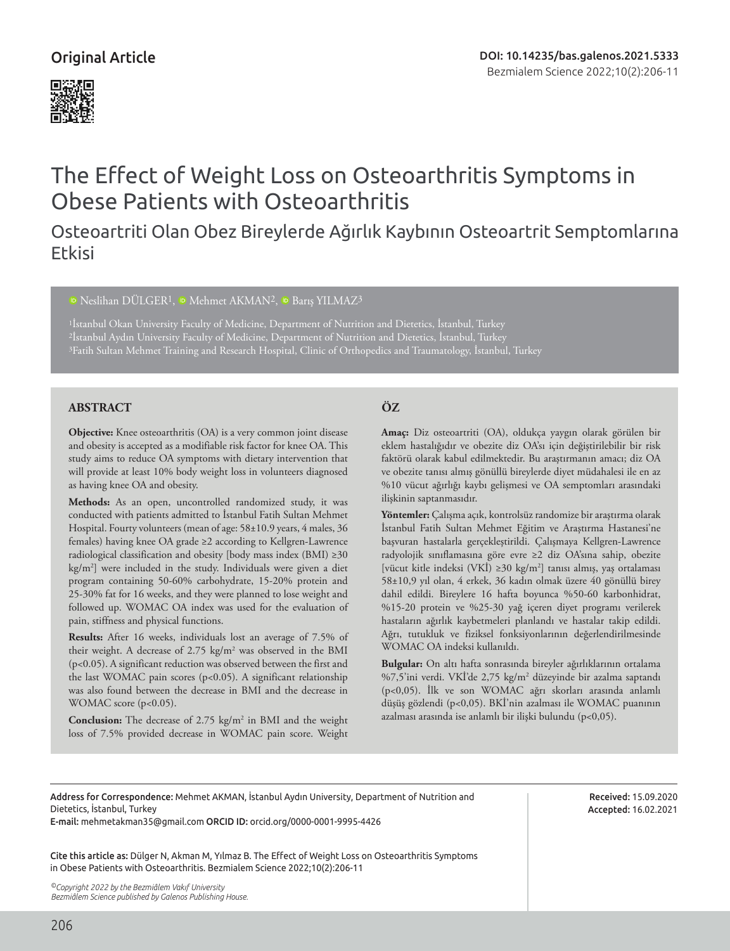# Original Article



# The Effect of Weight Loss on Osteoarthritis Symptoms in Obese Patients with Osteoarthritis

# Osteoartriti Olan Obez Bireylerde Ağırlık Kaybının Osteoartrit Semptomlarına Etkisi

# <sup>10</sup>Neslihan DÜLGER<sup>1</sup>, <sup>10</sup> Mehmet AKMAN<sup>2</sup>, <sup>10</sup> Barış YILMAZ<sup>3</sup>

<sup>1</sup>İstanbul Okan University Faculty of Medicine, Department of Nutrition and Dietetics, İstanbul, Turkey 2İstanbul Aydın University Faculty of Medicine, Department of Nutrition and Dietetics, İstanbul, Turkey 3Fatih Sultan Mehmet Training and Research Hospital, Clinic of Orthopedics and Traumatology, İstanbul, Turkey

# **ABSTRACT ÖZ**

**Objective:** Knee osteoarthritis (OA) is a very common joint disease and obesity is accepted as a modifiable risk factor for knee OA. This study aims to reduce OA symptoms with dietary intervention that will provide at least 10% body weight loss in volunteers diagnosed as having knee OA and obesity.

**Methods:** As an open, uncontrolled randomized study, it was conducted with patients admitted to İstanbul Fatih Sultan Mehmet Hospital. Fourty volunteers (mean of age: 58±10.9 years, 4 males, 36 females) having knee OA grade ≥2 according to Kellgren-Lawrence radiological classification and obesity [body mass index (BMI) ≥30 kg/m2 ] were included in the study. Individuals were given a diet program containing 50-60% carbohydrate, 15-20% protein and 25-30% fat for 16 weeks, and they were planned to lose weight and followed up. WOMAC OA index was used for the evaluation of pain, stiffness and physical functions.

**Results:** After 16 weeks, individuals lost an average of 7.5% of their weight. A decrease of 2.75 kg/m<sup>2</sup> was observed in the BMI (p<0.05). A significant reduction was observed between the first and the last WOMAC pain scores (p<0.05). A significant relationship was also found between the decrease in BMI and the decrease in WOMAC score (p<0.05).

**Conclusion:** The decrease of 2.75 kg/m<sup>2</sup> in BMI and the weight loss of 7.5% provided decrease in WOMAC pain score. Weight

**Amaç:** Diz osteoartriti (OA), oldukça yaygın olarak görülen bir eklem hastalığıdır ve obezite diz OA'sı için değiştirilebilir bir risk faktörü olarak kabul edilmektedir. Bu araştırmanın amacı; diz OA ve obezite tanısı almış gönüllü bireylerde diyet müdahalesi ile en az %10 vücut ağırlığı kaybı gelişmesi ve OA semptomları arasındaki ilişkinin saptanmasıdır.

**Yöntemler:** Çalışma açık, kontrolsüz randomize bir araştırma olarak İstanbul Fatih Sultan Mehmet Eğitim ve Araştırma Hastanesi'ne başvuran hastalarla gerçekleştirildi. Çalışmaya Kellgren-Lawrence radyolojik sınıflamasına göre evre ≥2 diz OA'sına sahip, obezite [vücut kitle indeksi (VKİ) ≥30 kg/m2 ] tanısı almış, yaş ortalaması 58±10,9 yıl olan, 4 erkek, 36 kadın olmak üzere 40 gönüllü birey dahil edildi. Bireylere 16 hafta boyunca %50-60 karbonhidrat, %15-20 protein ve %25-30 yağ içeren diyet programı verilerek hastaların ağırlık kaybetmeleri planlandı ve hastalar takip edildi. Ağrı, tutukluk ve fiziksel fonksiyonlarının değerlendirilmesinde WOMAC OA indeksi kullanıldı.

**Bulgular:** On altı hafta sonrasında bireyler ağırlıklarının ortalama %7,5'ini verdi. VKİ'de 2,75 kg/m2 düzeyinde bir azalma saptandı (p<0,05). İlk ve son WOMAC ağrı skorları arasında anlamlı düşüş gözlendi (p<0,05). BKİ'nin azalması ile WOMAC puanının azalması arasında ise anlamlı bir ilişki bulundu (p<0,05).

Address for Correspondence: Mehmet AKMAN, İstanbul Aydın University, Department of Nutrition and Dietetics, İstanbul, Turkey

E-mail: mehmetakman35@gmail.com ORCID ID: orcid.org/0000-0001-9995-4426

Cite this article as: Dülger N, Akman M, Yılmaz B. The Effect of Weight Loss on Osteoarthritis Symptoms in Obese Patients with Osteoarthritis. Bezmialem Science 2022;10(2):206-11

*©Copyright 2022 by the Bezmiâlem Vakıf University Bezmiâlem Science published by Galenos Publishing House.*

Received: 15.09.2020 Accepted: 16.02.2021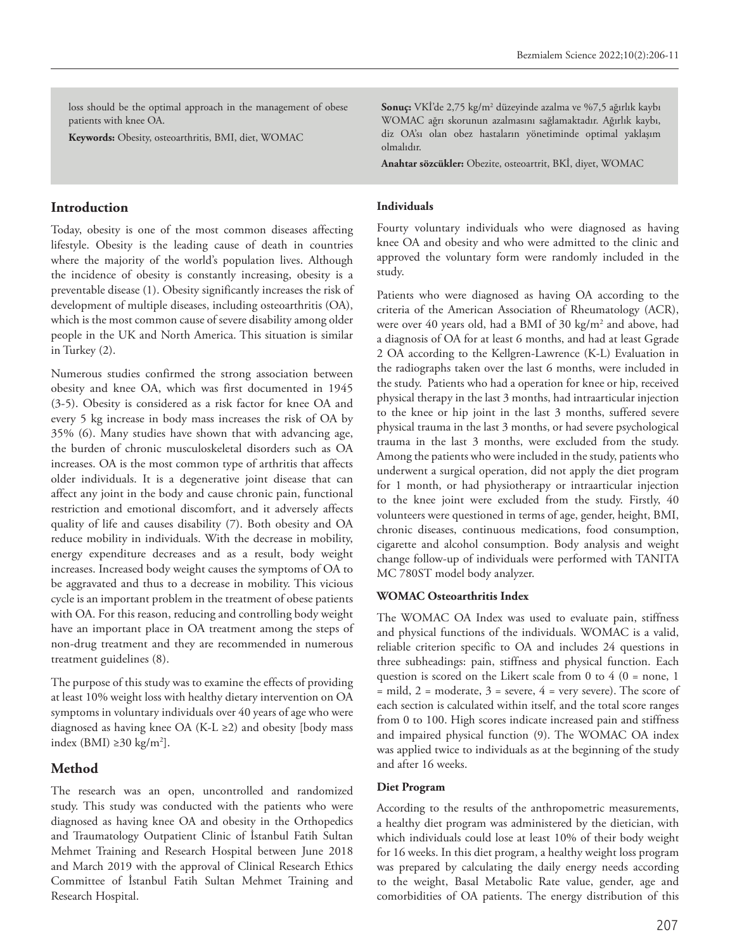loss should be the optimal approach in the management of obese patients with knee OA.

**Keywords:** Obesity, osteoarthritis, BMI, diet, WOMAC

### **Introduction**

Today, obesity is one of the most common diseases affecting lifestyle. Obesity is the leading cause of death in countries where the majority of the world's population lives. Although the incidence of obesity is constantly increasing, obesity is a preventable disease (1). Obesity significantly increases the risk of development of multiple diseases, including osteoarthritis (OA), which is the most common cause of severe disability among older people in the UK and North America. This situation is similar in Turkey (2).

Numerous studies confirmed the strong association between obesity and knee OA, which was first documented in 1945 (3-5). Obesity is considered as a risk factor for knee OA and every 5 kg increase in body mass increases the risk of OA by 35% (6). Many studies have shown that with advancing age, the burden of chronic musculoskeletal disorders such as OA increases. OA is the most common type of arthritis that affects older individuals. It is a degenerative joint disease that can affect any joint in the body and cause chronic pain, functional restriction and emotional discomfort, and it adversely affects quality of life and causes disability (7). Both obesity and OA reduce mobility in individuals. With the decrease in mobility, energy expenditure decreases and as a result, body weight increases. Increased body weight causes the symptoms of OA to be aggravated and thus to a decrease in mobility. This vicious cycle is an important problem in the treatment of obese patients with OA. For this reason, reducing and controlling body weight have an important place in OA treatment among the steps of non-drug treatment and they are recommended in numerous treatment guidelines (8).

The purpose of this study was to examine the effects of providing at least 10% weight loss with healthy dietary intervention on OA symptoms in voluntary individuals over 40 years of age who were diagnosed as having knee OA (K-L ≥2) and obesity [body mass index (BMI) ≥30 kg/m<sup>2</sup>].

# **Method**

The research was an open, uncontrolled and randomized study. This study was conducted with the patients who were diagnosed as having knee OA and obesity in the Orthopedics and Traumatology Outpatient Clinic of İstanbul Fatih Sultan Mehmet Training and Research Hospital between June 2018 and March 2019 with the approval of Clinical Research Ethics Committee of İstanbul Fatih Sultan Mehmet Training and Research Hospital.

**Sonuç:** VKİ'de 2,75 kg/m2 düzeyinde azalma ve %7,5 ağırlık kaybı WOMAC ağrı skorunun azalmasını sağlamaktadır. Ağırlık kaybı, diz OA'sı olan obez hastaların yönetiminde optimal yaklaşım olmalıdır.

**Anahtar sözcükler:** Obezite, osteoartrit, BKİ, diyet, WOMAC

#### **Individuals**

Fourty voluntary individuals who were diagnosed as having knee OA and obesity and who were admitted to the clinic and approved the voluntary form were randomly included in the study.

Patients who were diagnosed as having OA according to the criteria of the American Association of Rheumatology (ACR), were over 40 years old, had a BMI of 30 kg/m2 and above, had a diagnosis of OA for at least 6 months, and had at least Ggrade 2 OA according to the Kellgren-Lawrence (K-L) Evaluation in the radiographs taken over the last 6 months, were included in the study. Patients who had a operation for knee or hip, received physical therapy in the last 3 months, had intraarticular injection to the knee or hip joint in the last 3 months, suffered severe physical trauma in the last 3 months, or had severe psychological trauma in the last 3 months, were excluded from the study. Among the patients who were included in the study, patients who underwent a surgical operation, did not apply the diet program for 1 month, or had physiotherapy or intraarticular injection to the knee joint were excluded from the study. Firstly, 40 volunteers were questioned in terms of age, gender, height, BMI, chronic diseases, continuous medications, food consumption, cigarette and alcohol consumption. Body analysis and weight change follow-up of individuals were performed with TANITA MC 780ST model body analyzer.

#### **WOMAC Osteoarthritis Index**

The WOMAC OA Index was used to evaluate pain, stiffness and physical functions of the individuals. WOMAC is a valid, reliable criterion specific to OA and includes 24 questions in three subheadings: pain, stiffness and physical function. Each question is scored on the Likert scale from 0 to  $4$  (0 = none, 1  $=$  mild,  $2 =$  moderate,  $3 =$  severe,  $4 =$  very severe). The score of each section is calculated within itself, and the total score ranges from 0 to 100. High scores indicate increased pain and stiffness and impaired physical function (9). The WOMAC OA index was applied twice to individuals as at the beginning of the study and after 16 weeks.

#### **Diet Program**

According to the results of the anthropometric measurements, a healthy diet program was administered by the dietician, with which individuals could lose at least 10% of their body weight for 16 weeks. In this diet program, a healthy weight loss program was prepared by calculating the daily energy needs according to the weight, Basal Metabolic Rate value, gender, age and comorbidities of OA patients. The energy distribution of this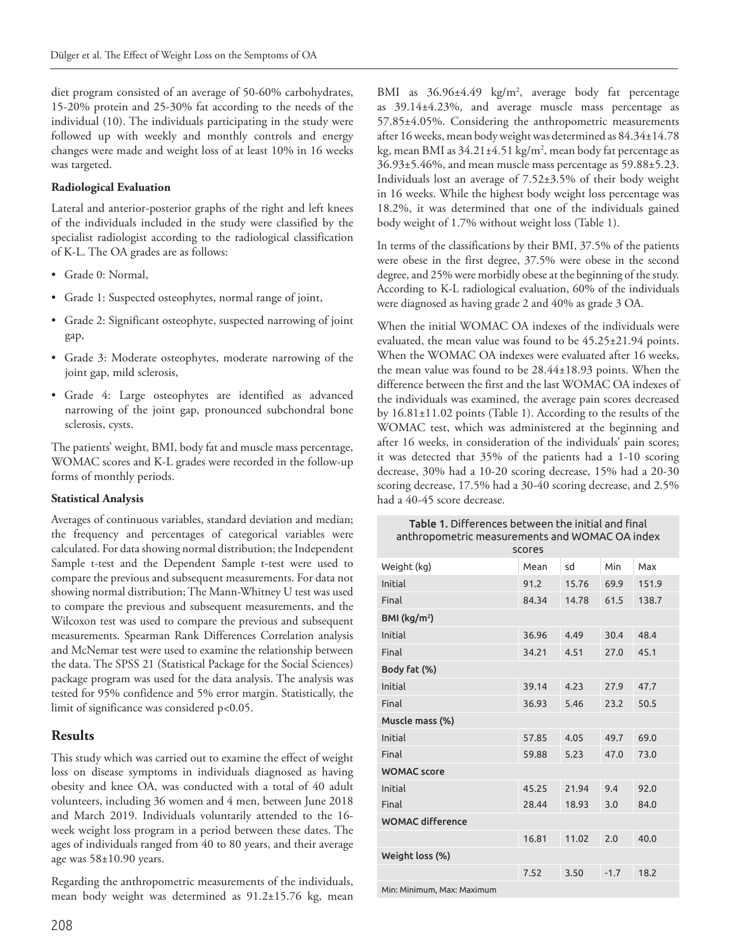diet program consisted of an average of 50-60% carbohydrates, 15-20% protein and 25-30% fat according to the needs of the individual (10). The individuals participating in the study were followed up with weekly and monthly controls and energy changes were made and weight loss of at least 10% in 16 weeks was targeted.

#### **Radiological Evaluation**

Lateral and anterior-posterior graphs of the right and left knees of the individuals included in the study were classified by the specialist radiologist according to the radiological classification of K-L. The OA grades are as follows:

- Grade 0: Normal,
- Grade 1: Suspected osteophytes, normal range of joint,
- Grade 2: Significant osteophyte, suspected narrowing of joint gap,
- Grade 3: Moderate osteophytes, moderate narrowing of the joint gap, mild sclerosis,
- Grade 4: Large osteophytes are identified as advanced narrowing of the joint gap, pronounced subchondral bone sclerosis, cysts.

The patients' weight, BMI, body fat and muscle mass percentage, WOMAC scores and K-L grades were recorded in the follow-up forms of monthly periods.

#### **Statistical Analysis**

Averages of continuous variables, standard deviation and median; the frequency and percentages of categorical variables were calculated. For data showing normal distribution; the Independent Sample t-test and the Dependent Sample t-test were used to compare the previous and subsequent measurements. For data not showing normal distribution; The Mann-Whitney U test was used to compare the previous and subsequent measurements, and the Wilcoxon test was used to compare the previous and subsequent measurements. Spearman Rank Differences Correlation analysis and McNemar test were used to examine the relationship between the data. The SPSS 21 (Statistical Package for the Social Sciences) package program was used for the data analysis. The analysis was tested for 95% confidence and 5% error margin. Statistically, the limit of significance was considered p<0.05.

#### **Results**

This study which was carried out to examine the effect of weight loss on disease symptoms in individuals diagnosed as having obesity and knee OA, was conducted with a total of 40 adult volunteers, including 36 women and 4 men, between June 2018 and March 2019. Individuals voluntarily attended to the 16 week weight loss program in a period between these dates. The ages of individuals ranged from 40 to 80 years, and their average age was 58±10.90 years.

Regarding the anthropometric measurements of the individuals, mean body weight was determined as 91.2±15.76 kg, mean BMI as 36.96±4.49 kg/m<sup>2</sup>, average body fat percentage as 39.14±4.23%, and average muscle mass percentage as 57.85±4.05%. Considering the anthropometric measurements after 16 weeks, mean body weight was determined as 84.34±14.78 kg, mean BMI as 34.21±4.51 kg/m², mean body fat percentage as 36.93±5.46%, and mean muscle mass percentage as 59.88±5.23. Individuals lost an average of 7.52±3.5% of their body weight in 16 weeks. While the highest body weight loss percentage was 18.2%, it was determined that one of the individuals gained body weight of 1.7% without weight loss (Table 1).

In terms of the classifications by their BMI, 37.5% of the patients were obese in the first degree, 37.5% were obese in the second degree, and 25% were morbidly obese at the beginning of the study. According to K-L radiological evaluation, 60% of the individuals were diagnosed as having grade 2 and 40% as grade 3 OA.

When the initial WOMAC OA indexes of the individuals were evaluated, the mean value was found to be 45.25±21.94 points. When the WOMAC OA indexes were evaluated after 16 weeks, the mean value was found to be 28.44±18.93 points. When the difference between the first and the last WOMAC OA indexes of the individuals was examined, the average pain scores decreased by 16.81±11.02 points (Table 1). According to the results of the WOMAC test, which was administered at the beginning and after 16 weeks, in consideration of the individuals' pain scores; it was detected that 35% of the patients had a 1-10 scoring decrease, 30% had a 10-20 scoring decrease, 15% had a 20-30 scoring decrease, 17.5% had a 30-40 scoring decrease, and 2.5% had a 40-45 score decrease.

Table 1. Differences between the initial and final anthropometric measurements and WOMAC OA index

| <b>SCOFES</b>              |       |       |        |       |  |
|----------------------------|-------|-------|--------|-------|--|
| Weight (kg)                | Mean  | sd    | Min    | Max   |  |
| Initial                    | 91.2  | 15.76 | 69.9   | 151.9 |  |
| Final                      | 84.34 | 14.78 | 61.5   | 138.7 |  |
| BMI ( $\text{kg/m}^2$ )    |       |       |        |       |  |
| Initial                    | 36.96 | 4.49  | 30.4   | 48.4  |  |
| Final                      | 34.21 | 4.51  | 27.0   | 45.1  |  |
| Body fat (%)               |       |       |        |       |  |
| Initial                    | 39.14 | 4.23  | 27.9   | 47.7  |  |
| Final                      | 36.93 | 5.46  | 23.2   | 50.5  |  |
| Muscle mass (%)            |       |       |        |       |  |
| Initial                    | 57.85 | 4.05  | 49.7   | 69.0  |  |
| Final                      | 59.88 | 5.23  | 47.0   | 73.0  |  |
| <b>WOMAC</b> score         |       |       |        |       |  |
| Initial                    | 45.25 | 21.94 | 9.4    | 92.0  |  |
| Final                      | 28.44 | 18.93 | 3.0    | 84.0  |  |
| <b>WOMAC difference</b>    |       |       |        |       |  |
|                            | 16.81 | 11.02 | 2.0    | 40.0  |  |
| Weight loss (%)            |       |       |        |       |  |
|                            | 7.52  | 3.50  | $-1.7$ | 18.2  |  |
| Min: Minimum, Max: Maximum |       |       |        |       |  |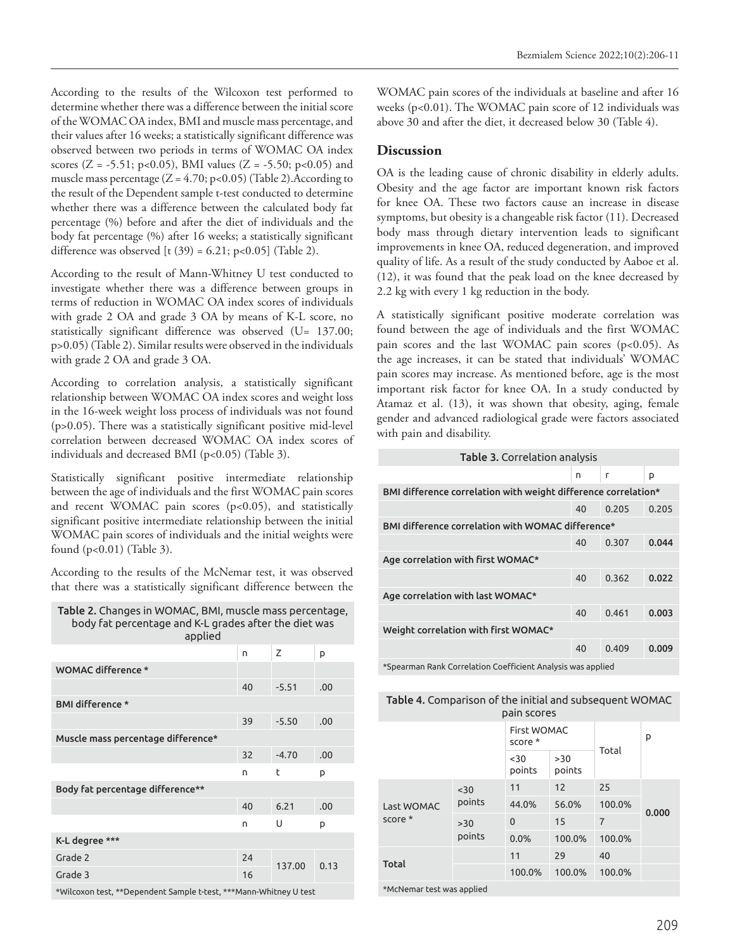According to the results of the Wilcoxon test performed to determine whether there was a difference between the initial score of the WOMAC OA index, BMI and muscle mass percentage, and their values after 16 weeks; a statistically significant difference was observed between two periods in terms of WOMAC OA index scores (Z = -5.51; p<0.05), BMI values (Z = -5.50; p<0.05) and muscle mass percentage  $(Z = 4.70; p < 0.05)$  (Table 2). According to the result of the Dependent sample t-test conducted to determine whether there was a difference between the calculated body fat percentage (%) before and after the diet of individuals and the body fat percentage (%) after 16 weeks; a statistically significant difference was observed  $[t (39) = 6.21; p<0.05]$  (Table 2).

According to the result of Mann-Whitney U test conducted to investigate whether there was a difference between groups in terms of reduction in WOMAC OA index scores of individuals with grade 2 OA and grade 3 OA by means of K-L score, no statistically significant difference was observed (U= 137.00; p>0.05) (Table 2). Similar results were observed in the individuals with grade 2 OA and grade 3 OA.

According to correlation analysis, a statistically significant relationship between WOMAC OA index scores and weight loss in the 16-week weight loss process of individuals was not found (p>0.05). There was a statistically significant positive mid-level correlation between decreased WOMAC OA index scores of individuals and decreased BMI (p<0.05) (Table 3).

Statistically significant positive intermediate relationship between the age of individuals and the first WOMAC pain scores and recent WOMAC pain scores (p<0.05), and statistically significant positive intermediate relationship between the initial WOMAC pain scores of individuals and the initial weights were found (p<0.01) (Table 3).

According to the results of the McNemar test, it was observed that there was a statistically significant difference between the

| Table 2. Changes in WOMAC, BMI, muscle mass percentage,<br>body fat percentage and K-L grades after the diet was<br>applied |    |         |     |  |
|-----------------------------------------------------------------------------------------------------------------------------|----|---------|-----|--|
|                                                                                                                             | n. |         | p   |  |
| WOMAC difference *                                                                                                          |    |         |     |  |
|                                                                                                                             | 40 | $-5.51$ | .00 |  |
|                                                                                                                             |    |         |     |  |

| <b>BMI difference *</b>            |    |         |      |  |
|------------------------------------|----|---------|------|--|
|                                    | 39 | $-5.50$ | .00  |  |
| Muscle mass percentage difference* |    |         |      |  |
|                                    | 32 | $-4.70$ | .00  |  |
|                                    | n  | t       | p    |  |
| Body fat percentage difference**   |    |         |      |  |
|                                    | 40 | 6.21    | .00  |  |
|                                    | n  | U       | p    |  |
| K-L degree ***                     |    |         |      |  |
| Grade 2                            | 24 | 137.00  | 0.13 |  |
| Grade 3                            | 16 |         |      |  |
|                                    |    |         |      |  |

\*Wilcoxon test, \*\*Dependent Sample t-test, \*\*\*Mann-Whitney U test

WOMAC pain scores of the individuals at baseline and after 16 weeks (p<0.01). The WOMAC pain score of 12 individuals was above 30 and after the diet, it decreased below 30 (Table 4).

### **Discussion**

OA is the leading cause of chronic disability in elderly adults. Obesity and the age factor are important known risk factors for knee OA. These two factors cause an increase in disease symptoms, but obesity is a changeable risk factor (11). Decreased body mass through dietary intervention leads to significant improvements in knee OA, reduced degeneration, and improved quality of life. As a result of the study conducted by Aaboe et al. (12), it was found that the peak load on the knee decreased by 2.2 kg with every 1 kg reduction in the body.

A statistically significant positive moderate correlation was found between the age of individuals and the first WOMAC pain scores and the last WOMAC pain scores (p<0.05). As the age increases, it can be stated that individuals' WOMAC pain scores may increase. As mentioned before, age is the most important risk factor for knee OA. In a study conducted by Atamaz et al. (13), it was shown that obesity, aging, female gender and advanced radiological grade were factors associated with pain and disability.

| <b>Table 3. Correlation analysis</b>                           |    |       |       |
|----------------------------------------------------------------|----|-------|-------|
|                                                                | n  | г     | p     |
| BMI difference correlation with weight difference correlation* |    |       |       |
|                                                                | 40 | 0.205 | 0.205 |
| BMI difference correlation with WOMAC difference*              |    |       |       |
|                                                                | 40 | 0.307 | 0.044 |
| Age correlation with first WOMAC*                              |    |       |       |
|                                                                | 40 | 0.362 | 0.022 |
| Age correlation with last WOMAC*                               |    |       |       |
|                                                                | 40 | 0.461 | 0.003 |
| Weight correlation with first WOMAC*                           |    |       |       |
|                                                                | 40 | 0.409 | 0.009 |
|                                                                |    |       |       |

\*Spearman Rank Correlation Coefficient Analysis was applied

| Table 4. Comparison of the initial and subsequent WOMAC |
|---------------------------------------------------------|
| pain scores                                             |

|                           |               | <b>First WOMAC</b><br>score * |               |                | p     |
|---------------------------|---------------|-------------------------------|---------------|----------------|-------|
|                           |               |                               | >30<br>points | Total          |       |
| Last WOMAC<br>score *     | $30$          | 11                            | 12            | 25             |       |
|                           | points        | 44.0%                         | 56.0%         | 100.0%         | 0.000 |
|                           | >30<br>points | $\mathbf{0}$                  | 15            | $\overline{7}$ |       |
|                           |               | 0.0%                          | 100.0%        | 100.0%         |       |
| Total                     |               | 11                            | 29            | 40             |       |
|                           |               | 100.0%                        | 100.0%        | 100.0%         |       |
| *McNomas tost was applied |               |                               |               |                |       |

\*McNemar test was applied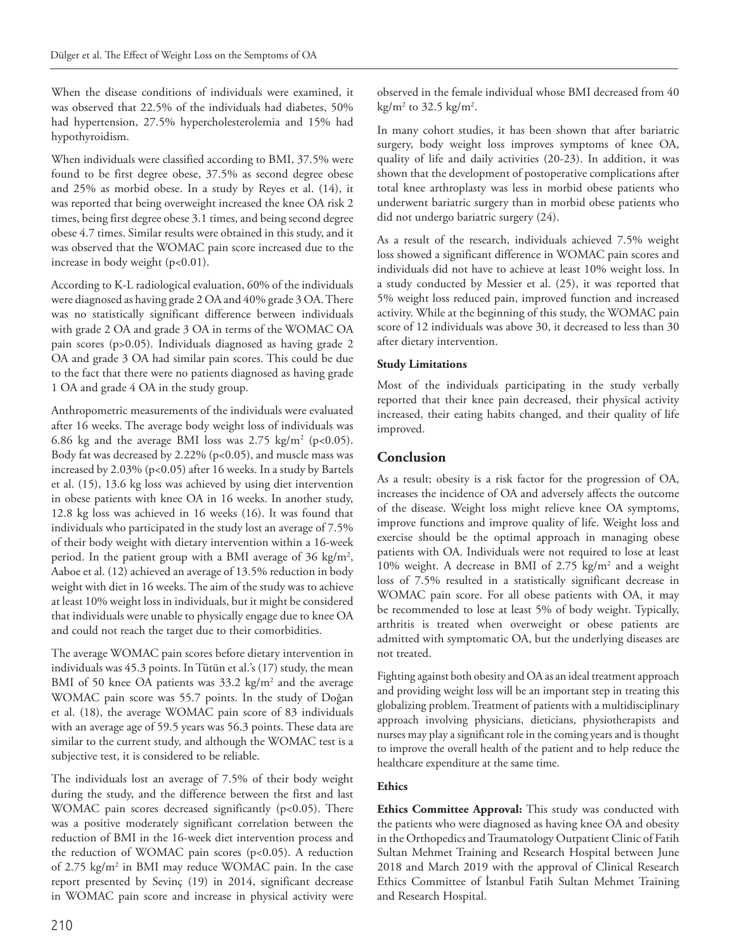When the disease conditions of individuals were examined, it was observed that 22.5% of the individuals had diabetes, 50% had hypertension, 27.5% hypercholesterolemia and 15% had hypothyroidism.

When individuals were classified according to BMI, 37.5% were found to be first degree obese, 37.5% as second degree obese and 25% as morbid obese. In a study by Reyes et al. (14), it was reported that being overweight increased the knee OA risk 2 times, being first degree obese 3.1 times, and being second degree obese 4.7 times. Similar results were obtained in this study, and it was observed that the WOMAC pain score increased due to the increase in body weight (p<0.01).

According to K-L radiological evaluation, 60% of the individuals were diagnosed as having grade 2 OA and 40% grade 3 OA. There was no statistically significant difference between individuals with grade 2 OA and grade 3 OA in terms of the WOMAC OA pain scores (p>0.05). Individuals diagnosed as having grade 2 OA and grade 3 OA had similar pain scores. This could be due to the fact that there were no patients diagnosed as having grade 1 OA and grade 4 OA in the study group.

Anthropometric measurements of the individuals were evaluated after 16 weeks. The average body weight loss of individuals was 6.86 kg and the average BMI loss was  $2.75 \text{ kg/m}^2$  (p<0.05). Body fat was decreased by 2.22% (p<0.05), and muscle mass was increased by 2.03% (p<0.05) after 16 weeks. In a study by Bartels et al. (15), 13.6 kg loss was achieved by using diet intervention in obese patients with knee OA in 16 weeks. In another study, 12.8 kg loss was achieved in 16 weeks (16). It was found that individuals who participated in the study lost an average of 7.5% of their body weight with dietary intervention within a 16-week period. In the patient group with a BMI average of 36 kg/m<sup>2</sup>, Aaboe et al. (12) achieved an average of 13.5% reduction in body weight with diet in 16 weeks. The aim of the study was to achieve at least 10% weight loss in individuals, but it might be considered that individuals were unable to physically engage due to knee OA and could not reach the target due to their comorbidities.

The average WOMAC pain scores before dietary intervention in individuals was 45.3 points. In Tütün et al.'s (17) study, the mean BMI of 50 knee OA patients was 33.2 kg/m<sup>2</sup> and the average WOMAC pain score was 55.7 points. In the study of Doğan et al. (18), the average WOMAC pain score of 83 individuals with an average age of 59.5 years was 56.3 points. These data are similar to the current study, and although the WOMAC test is a subjective test, it is considered to be reliable.

The individuals lost an average of 7.5% of their body weight during the study, and the difference between the first and last WOMAC pain scores decreased significantly (p<0.05). There was a positive moderately significant correlation between the reduction of BMI in the 16-week diet intervention process and the reduction of WOMAC pain scores  $(p<0.05)$ . A reduction of 2.75 kg/m2 in BMI may reduce WOMAC pain. In the case report presented by Sevinç (19) in 2014, significant decrease in WOMAC pain score and increase in physical activity were

In many cohort studies, it has been shown that after bariatric surgery, body weight loss improves symptoms of knee OA, quality of life and daily activities (20-23). In addition, it was shown that the development of postoperative complications after total knee arthroplasty was less in morbid obese patients who underwent bariatric surgery than in morbid obese patients who did not undergo bariatric surgery (24).

As a result of the research, individuals achieved 7.5% weight loss showed a significant difference in WOMAC pain scores and individuals did not have to achieve at least 10% weight loss. In a study conducted by Messier et al. (25), it was reported that 5% weight loss reduced pain, improved function and increased activity. While at the beginning of this study, the WOMAC pain score of 12 individuals was above 30, it decreased to less than 30 after dietary intervention.

# **Study Limitations**

Most of the individuals participating in the study verbally reported that their knee pain decreased, their physical activity increased, their eating habits changed, and their quality of life improved.

# **Conclusion**

As a result; obesity is a risk factor for the progression of OA, increases the incidence of OA and adversely affects the outcome of the disease. Weight loss might relieve knee OA symptoms, improve functions and improve quality of life. Weight loss and exercise should be the optimal approach in managing obese patients with OA. Individuals were not required to lose at least 10% weight. A decrease in BMI of 2.75 kg/m2 and a weight loss of 7.5% resulted in a statistically significant decrease in WOMAC pain score. For all obese patients with OA, it may be recommended to lose at least 5% of body weight. Typically, arthritis is treated when overweight or obese patients are admitted with symptomatic OA, but the underlying diseases are not treated.

Fighting against both obesity and OA as an ideal treatment approach and providing weight loss will be an important step in treating this globalizing problem. Treatment of patients with a multidisciplinary approach involving physicians, dieticians, physiotherapists and nurses may play a significant role in the coming years and is thought to improve the overall health of the patient and to help reduce the healthcare expenditure at the same time.

# **Ethics**

**Ethics Committee Approval:** This study was conducted with the patients who were diagnosed as having knee OA and obesity in the Orthopedics and Traumatology Outpatient Clinic of Fatih Sultan Mehmet Training and Research Hospital between June 2018 and March 2019 with the approval of Clinical Research Ethics Committee of İstanbul Fatih Sultan Mehmet Training and Research Hospital.